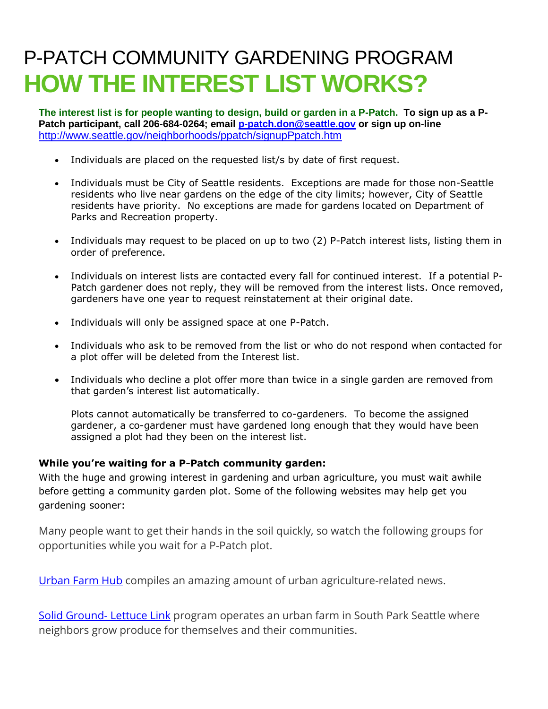## P-PATCH COMMUNITY GARDENING PROGRAM **HOW THE INTEREST LIST WORKS?**

**The interest list is for people wanting to design, build or garden in a P-Patch. To sign up as a P-Patch participant, call 206-684-0264; email [p-patch.don@seattle.gov](mailto:p-patch.don@seattle.gov) or sign up on-line**  <http://www.seattle.gov/neighborhoods/ppatch/signupPpatch.htm>

- Individuals are placed on the requested list/s by date of first request.
- Individuals must be City of Seattle residents. Exceptions are made for those non-Seattle residents who live near gardens on the edge of the city limits; however, City of Seattle residents have priority. No exceptions are made for gardens located on Department of Parks and Recreation property.
- Individuals may request to be placed on up to two (2) P-Patch interest lists, listing them in order of preference.
- Individuals on interest lists are contacted every fall for continued interest. If a potential P-Patch gardener does not reply, they will be removed from the interest lists. Once removed, gardeners have one year to request reinstatement at their original date.
- Individuals will only be assigned space at one P-Patch.
- Individuals who ask to be removed from the list or who do not respond when contacted for a plot offer will be deleted from the Interest list.
- Individuals who decline a plot offer more than twice in a single garden are removed from that garden's interest list automatically.

Plots cannot automatically be transferred to co-gardeners. To become the assigned gardener, a co-gardener must have gardened long enough that they would have been assigned a plot had they been on the interest list.

## **While you're waiting for a P-Patch community garden:**

With the huge and growing interest in gardening and urban agriculture, you must wait awhile before getting a community garden plot. Some of the following websites may help get you gardening sooner:

Many people want to get their hands in the soil quickly, so watch the following groups for opportunities while you wait for a P-Patch plot.

[Urban Farm Hub](http://www.urbanfarmhub.org/) compiles an amazing amount of urban agriculture-related news.

[Solid Ground-](https://www.solid-ground.org/our-impact/hunger-nutrition/growing-giving/) Lettuce Link program operates an urban farm in South Park Seattle where neighbors grow produce for themselves and their communities.